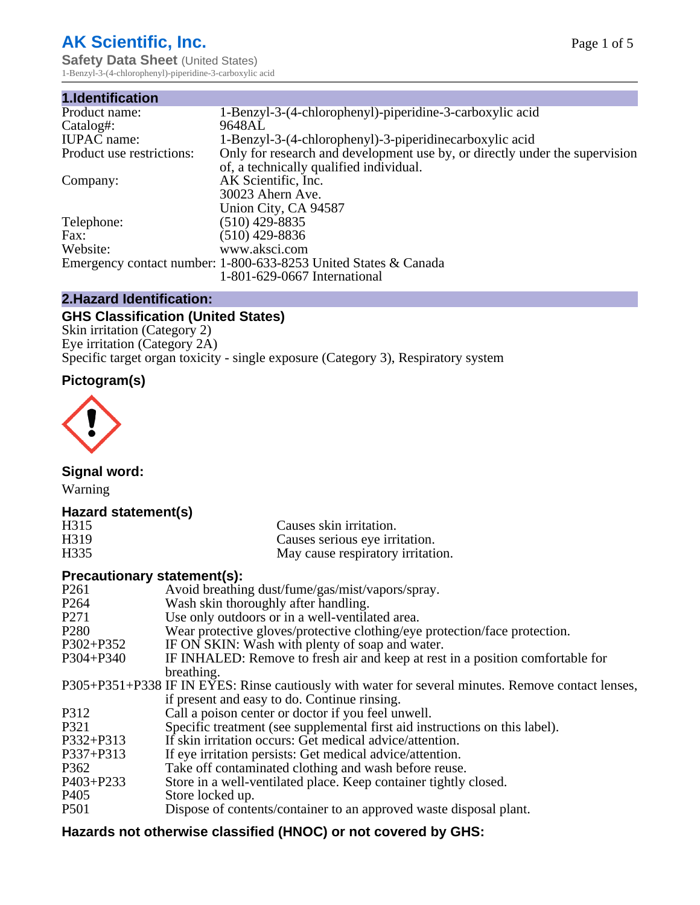# **AK Scientific, Inc.**

**Safety Data Sheet (United States)** 1-Benzyl-3-(4-chlorophenyl)-piperidine-3-carboxylic acid

| 1.Identification          |                                                                             |
|---------------------------|-----------------------------------------------------------------------------|
| Product name:             | 1-Benzyl-3-(4-chlorophenyl)-piperidine-3-carboxylic acid                    |
| Catalog#:                 | 9648AL                                                                      |
| <b>IUPAC</b> name:        | 1-Benzyl-3-(4-chlorophenyl)-3-piperidinecarboxylic acid                     |
| Product use restrictions: | Only for research and development use by, or directly under the supervision |
|                           | of, a technically qualified individual.                                     |
| Company:                  | AK Scientific, Inc.                                                         |
|                           | 30023 Ahern Ave.                                                            |
|                           | Union City, CA 94587                                                        |
| Telephone:                | $(510)$ 429-8835                                                            |
| Fax:                      | $(510)$ 429-8836                                                            |
| Website:                  | www.aksci.com                                                               |
|                           | Emergency contact number: 1-800-633-8253 United States & Canada             |
|                           | 1-801-629-0667 International                                                |

## **2.Hazard Identification:**

# **GHS Classification (United States)**

Skin irritation (Category 2) Eye irritation (Category 2A) Specific target organ toxicity - single exposure (Category 3), Respiratory system

## **Pictogram(s)**



**Signal word:**

Warning

## **Hazard statement(s)**

| H <sub>315</sub>  | Causes skin irritation.           |
|-------------------|-----------------------------------|
| H <sub>3</sub> 19 | Causes serious eye irritation.    |
| H335              | May cause respiratory irritation. |

## **Precautionary statement(s):**

| P <sub>261</sub> | Avoid breathing dust/fume/gas/mist/vapors/spray.                                                   |
|------------------|----------------------------------------------------------------------------------------------------|
| P <sub>264</sub> | Wash skin thoroughly after handling.                                                               |
| P <sub>271</sub> | Use only outdoors or in a well-ventilated area.                                                    |
| P <sub>280</sub> | Wear protective gloves/protective clothing/eye protection/face protection.                         |
| P302+P352        | IF ON SKIN: Wash with plenty of soap and water.                                                    |
| $P304 + P340$    | IF INHALED: Remove to fresh air and keep at rest in a position comfortable for                     |
|                  | breathing.                                                                                         |
|                  | P305+P351+P338 IF IN EYES: Rinse cautiously with water for several minutes. Remove contact lenses, |
|                  | if present and easy to do. Continue rinsing.                                                       |
| P312             | Call a poison center or doctor if you feel unwell.                                                 |
| P321             | Specific treatment (see supplemental first aid instructions on this label).                        |
| P332+P313        | If skin irritation occurs: Get medical advice/attention.                                           |
| P337+P313        | If eye irritation persists: Get medical advice/attention.                                          |
| P362             | Take off contaminated clothing and wash before reuse.                                              |
| $P403 + P233$    | Store in a well-ventilated place. Keep container tightly closed.                                   |
| P <sub>405</sub> | Store locked up.                                                                                   |
| P <sub>501</sub> | Dispose of contents/container to an approved waste disposal plant.                                 |
|                  |                                                                                                    |

## **Hazards not otherwise classified (HNOC) or not covered by GHS:**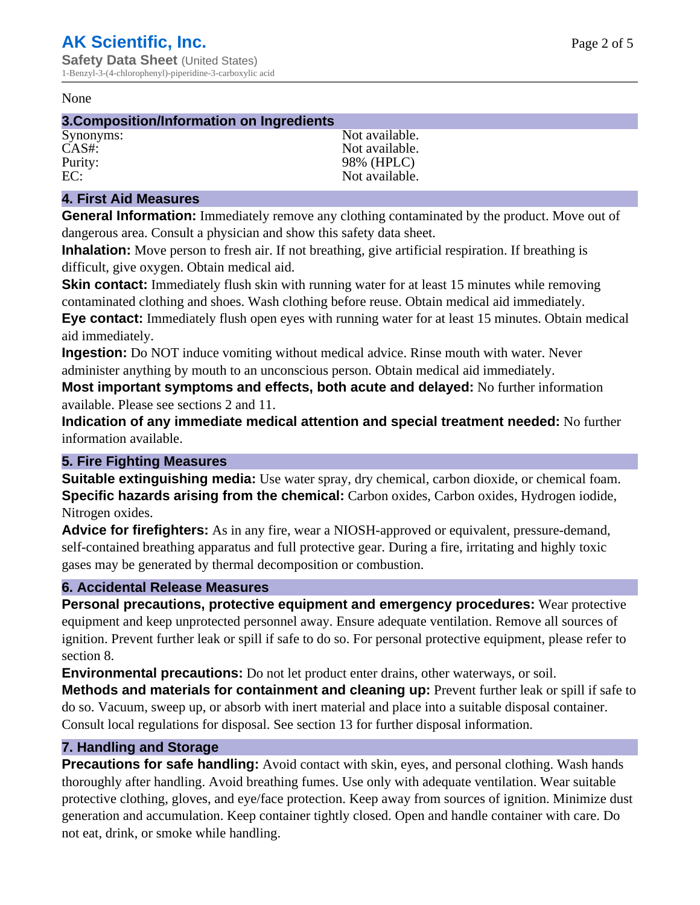#### None

#### **3.Composition/Information on Ingredients**

Synonyms: Not available. CAS#: Not available. Purity: 98% (HPLC)<br>EC: Not available. Not available.

## **4. First Aid Measures**

**General Information:** Immediately remove any clothing contaminated by the product. Move out of dangerous area. Consult a physician and show this safety data sheet.

**Inhalation:** Move person to fresh air. If not breathing, give artificial respiration. If breathing is difficult, give oxygen. Obtain medical aid.

**Skin contact:** Immediately flush skin with running water for at least 15 minutes while removing contaminated clothing and shoes. Wash clothing before reuse. Obtain medical aid immediately. **Eye contact:** Immediately flush open eyes with running water for at least 15 minutes. Obtain medical aid immediately.

**Ingestion:** Do NOT induce vomiting without medical advice. Rinse mouth with water. Never administer anything by mouth to an unconscious person. Obtain medical aid immediately.

**Most important symptoms and effects, both acute and delayed:** No further information available. Please see sections 2 and 11.

**Indication of any immediate medical attention and special treatment needed:** No further information available.

## **5. Fire Fighting Measures**

**Suitable extinguishing media:** Use water spray, dry chemical, carbon dioxide, or chemical foam. **Specific hazards arising from the chemical:** Carbon oxides, Carbon oxides, Hydrogen iodide, Nitrogen oxides.

**Advice for firefighters:** As in any fire, wear a NIOSH-approved or equivalent, pressure-demand, self-contained breathing apparatus and full protective gear. During a fire, irritating and highly toxic gases may be generated by thermal decomposition or combustion.

#### **6. Accidental Release Measures**

**Personal precautions, protective equipment and emergency procedures:** Wear protective equipment and keep unprotected personnel away. Ensure adequate ventilation. Remove all sources of ignition. Prevent further leak or spill if safe to do so. For personal protective equipment, please refer to section 8.

**Environmental precautions:** Do not let product enter drains, other waterways, or soil.

**Methods and materials for containment and cleaning up:** Prevent further leak or spill if safe to do so. Vacuum, sweep up, or absorb with inert material and place into a suitable disposal container. Consult local regulations for disposal. See section 13 for further disposal information.

## **7. Handling and Storage**

**Precautions for safe handling:** Avoid contact with skin, eyes, and personal clothing. Wash hands thoroughly after handling. Avoid breathing fumes. Use only with adequate ventilation. Wear suitable protective clothing, gloves, and eye/face protection. Keep away from sources of ignition. Minimize dust generation and accumulation. Keep container tightly closed. Open and handle container with care. Do not eat, drink, or smoke while handling.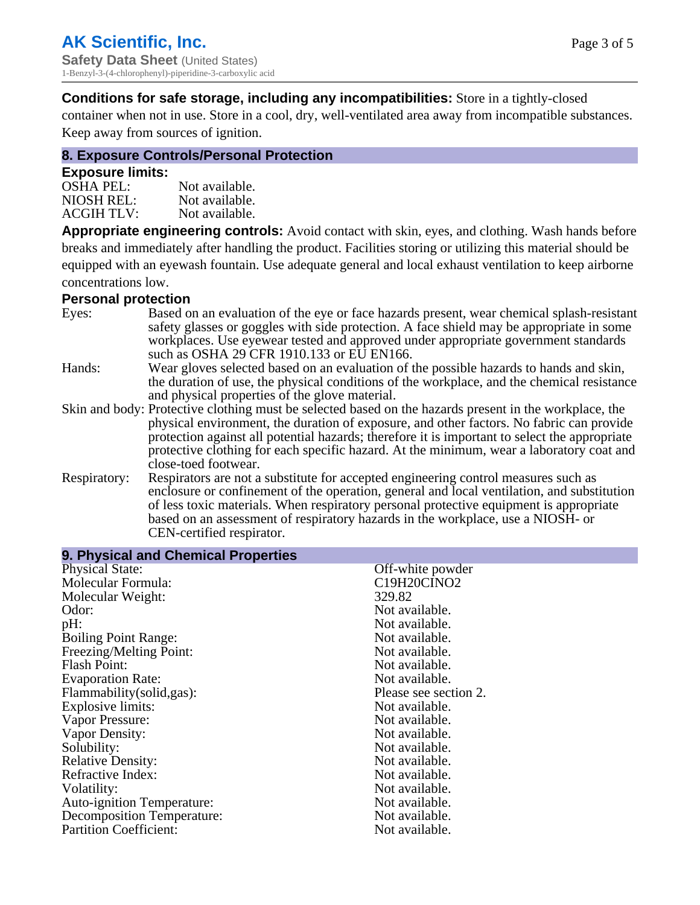**Conditions for safe storage, including any incompatibilities:** Store in a tightly-closed

container when not in use. Store in a cool, dry, well-ventilated area away from incompatible substances. Keep away from sources of ignition.

## **8. Exposure Controls/Personal Protection**

### **Exposure limits:**

| Not available. |
|----------------|
| Not available. |
| Not available. |
|                |

**Appropriate engineering controls:** Avoid contact with skin, eyes, and clothing. Wash hands before breaks and immediately after handling the product. Facilities storing or utilizing this material should be equipped with an eyewash fountain. Use adequate general and local exhaust ventilation to keep airborne concentrations low.

#### **Personal protection**

| Eyes:        | Based on an evaluation of the eye or face hazards present, wear chemical splash-resistant<br>safety glasses or goggles with side protection. A face shield may be appropriate in some<br>workplaces. Use eyewear tested and approved under appropriate government standards<br>such as OSHA 29 CFR 1910.133 or EU EN166.                                                                                                |
|--------------|-------------------------------------------------------------------------------------------------------------------------------------------------------------------------------------------------------------------------------------------------------------------------------------------------------------------------------------------------------------------------------------------------------------------------|
| Hands:       | Wear gloves selected based on an evaluation of the possible hazards to hands and skin,<br>the duration of use, the physical conditions of the workplace, and the chemical resistance<br>and physical properties of the glove material.                                                                                                                                                                                  |
|              | Skin and body: Protective clothing must be selected based on the hazards present in the workplace, the<br>physical environment, the duration of exposure, and other factors. No fabric can provide<br>protection against all potential hazards; therefore it is important to select the appropriate<br>protective clothing for each specific hazard. At the minimum, wear a laboratory coat and<br>close-toed footwear. |
| Respiratory: | Respirators are not a substitute for accepted engineering control measures such as<br>enclosure or confinement of the operation, general and local ventilation, and substitution<br>of less toxic materials. When respiratory personal protective equipment is appropriate<br>based on an assessment of respiratory hazards in the workplace, use a NIOSH- or<br>CEN-certified respirator.                              |

| 9. Physical and Chemical Properties |                       |
|-------------------------------------|-----------------------|
| <b>Physical State:</b>              | Off-white powder      |
| Molecular Formula:                  | C19H20CINO2           |
| Molecular Weight:                   | 329.82                |
| Odor:                               | Not available.        |
| pH:                                 | Not available.        |
| <b>Boiling Point Range:</b>         | Not available.        |
| Freezing/Melting Point:             | Not available.        |
| <b>Flash Point:</b>                 | Not available.        |
| <b>Evaporation Rate:</b>            | Not available.        |
| Flammability (solid, gas):          | Please see section 2. |
| Explosive limits:                   | Not available.        |
| Vapor Pressure:                     | Not available.        |
| Vapor Density:                      | Not available.        |
| Solubility:                         | Not available.        |
| <b>Relative Density:</b>            | Not available.        |
| Refractive Index:                   | Not available.        |
| Volatility:                         | Not available.        |
| <b>Auto-ignition Temperature:</b>   | Not available.        |
| <b>Decomposition Temperature:</b>   | Not available.        |
| <b>Partition Coefficient:</b>       | Not available.        |
|                                     |                       |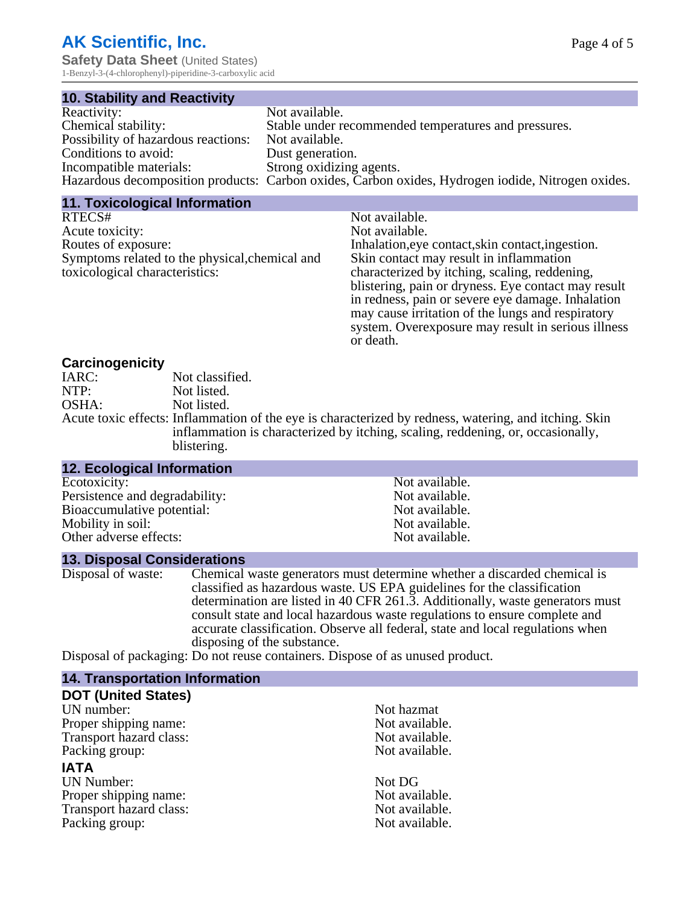# **AK Scientific, Inc.**

**Safety Data Sheet** (United States) 1-Benzyl-3-(4-chlorophenyl)-piperidine-3-carboxylic acid

| <b>10. Stability and Reactivity</b> |                                                                                                   |
|-------------------------------------|---------------------------------------------------------------------------------------------------|
| Reactivity:                         | Not available.                                                                                    |
| Chemical stability:                 | Stable under recommended temperatures and pressures.                                              |
| Possibility of hazardous reactions: | Not available.                                                                                    |
| Conditions to avoid:                | Dust generation.                                                                                  |
| Incompatible materials:             | Strong oxidizing agents.                                                                          |
|                                     | Hazardous decomposition products: Carbon oxides, Carbon oxides, Hydrogen iodide, Nitrogen oxides. |

#### **11. Toxicological Information**

| RTECS#                                         | Not available.                                      |
|------------------------------------------------|-----------------------------------------------------|
| Acute toxicity:                                | Not available.                                      |
| Routes of exposure:                            | Inhalation, eye contact, skin contact, ingestion.   |
| Symptoms related to the physical, chemical and | Skin contact may result in inflammation             |
| toxicological characteristics:                 | characterized by itching, scaling, reddening,       |
|                                                | blistering, pain or dryness. Eye contact may result |
|                                                | in redness, pain or severe eye damage. Inhalation   |
|                                                | may cause irritation of the lungs and respiratory   |
|                                                | system. Over exposure may result in serious illness |
|                                                | or death.                                           |
|                                                |                                                     |

#### **Carcinogenicity**

| IARC: | Not classified.                                                                                       |
|-------|-------------------------------------------------------------------------------------------------------|
| NTP:  | Not listed.                                                                                           |
| OSHA: | Not listed.                                                                                           |
|       | Acute toxic effects: Inflammation of the eye is characterized by redness, watering, and itching. Skin |
|       | inflammation is characterized by itching, scaling, reddening, or, occasionally,                       |
|       | blistering.                                                                                           |

| <b>12. Ecological Information</b> |                |
|-----------------------------------|----------------|
| Ecotoxicity:                      | Not available. |
| Persistence and degradability:    | Not available. |
| Bioaccumulative potential:        | Not available. |
| Mobility in soil:                 | Not available. |
| Other adverse effects:            | Not available. |

#### **13. Disposal Considerations**

Disposal of waste: Chemical waste generators must determine whether a discarded chemical is classified as hazardous waste. US EPA guidelines for the classification determination are listed in 40 CFR 261.3. Additionally, waste generators must consult state and local hazardous waste regulations to ensure complete and accurate classification. Observe all federal, state and local regulations when disposing of the substance.

Disposal of packaging: Do not reuse containers. Dispose of as unused product.

| <b>14. Transportation Information</b> |                |
|---------------------------------------|----------------|
| <b>DOT (United States)</b>            |                |
| UN number:                            | Not hazmat     |
| Proper shipping name:                 | Not available. |
| Transport hazard class:               | Not available. |
| Packing group:                        | Not available. |
| <b>IATA</b>                           |                |
| <b>UN Number:</b>                     | Not DG         |
| Proper shipping name:                 | Not available. |
| Transport hazard class:               | Not available. |
| Packing group:                        | Not available. |